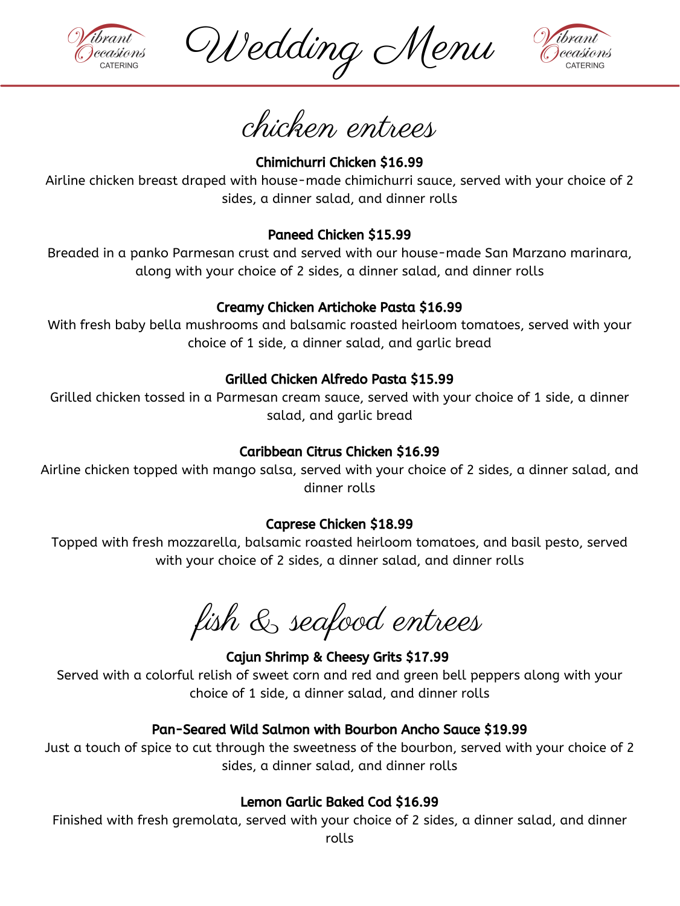Chimichurri Chicken \$16.99

Airline chicken breast draped with house-made chimichurri sauce, served with your choice of 2 sides, a dinner salad, and dinner rolls

# Paneed Chicken \$15.99

Breaded in a panko Parmesan crust and served with our house-made San Marzano marinara, along with your choice of 2 sides, a dinner salad, and dinner rolls

## Creamy Chicken Artichoke Pasta \$16.99

With fresh baby bella mushrooms and balsamic roasted heirloom tomatoes, served with your choice of 1 side, a dinner salad, and garlic bread

#### Grilled Chicken Alfredo Pasta \$15.99

Grilled chicken tossed in a Parmesan cream sauce, served with your choice of 1 side, a dinner salad, and garlic bread

# Caribbean Citrus Chicken \$16.99

Airline chicken topped with mango salsa, served with your choice of 2 sides, a dinner salad, and dinner rolls

#### Caprese Chicken \$18.99

Topped with fresh mozzarella, balsamic roasted heirloom tomatoes, and basil pesto, served with your choice of 2 sides, a dinner salad, and dinner rolls

Cajun Shrimp & Cheesy Grits \$17.99

Served with a colorful relish of sweet corn and red and green bell peppers along with your choice of 1 side, a dinner salad, and dinner rolls

## Pan-Seared Wild Salmon with Bourbon Ancho Sauce \$19.99

Just a touch of spice to cut through the sweetness of the bourbon, served with your choice of 2 sides, a dinner salad, and dinner rolls

#### Lemon Garlic Baked Cod \$16.99

Finished with fresh gremolata, served with your choice of 2 sides, a dinner salad, and dinner rolls

fish & seafood entrees

chicken entrees



Wedding Menu

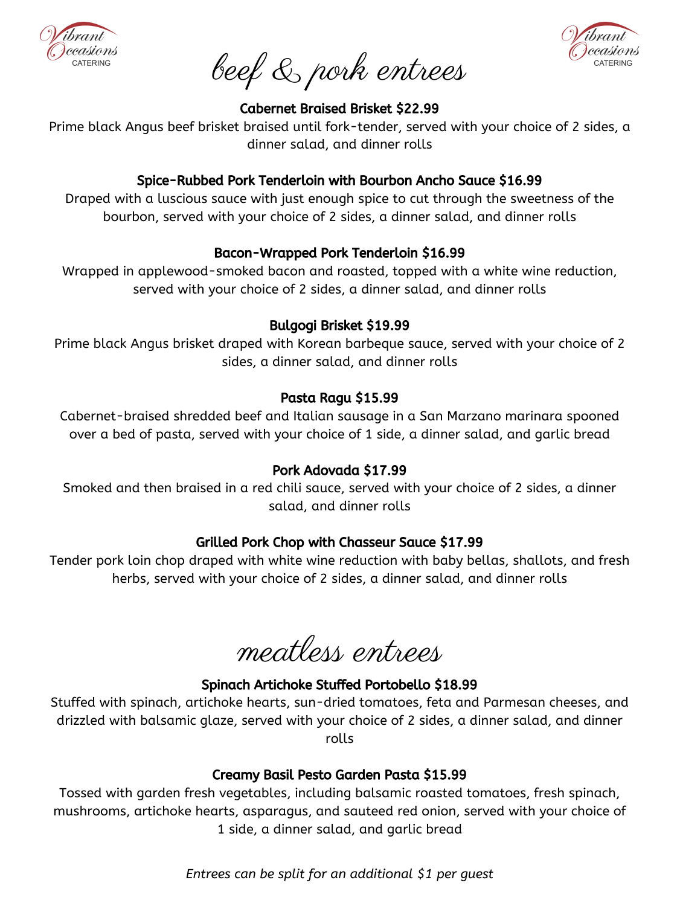#### Spinach Artichoke Stuffed Portobello \$18.99

Stuffed with spinach, artichoke hearts, sun-dried tomatoes, feta and Parmesan cheeses, and drizzled with balsamic glaze, served with your choice of 2 sides, a dinner salad, and dinner rolls

#### Creamy Basil Pesto Garden Pasta \$15.99

Tossed with garden fresh vegetables, including balsamic roasted tomatoes, fresh spinach, mushrooms, artichoke hearts, asparagus, and sauteed red onion, served with your choice of 1 side, a dinner salad, and garlic bread

meatless entrees





Cabernet Braised Brisket \$22.99

Prime black Angus beef brisket braised until fork-tender, served with your choice of 2 sides, a dinner salad, and dinner rolls

## Spice-Rubbed Pork Tenderloin with Bourbon Ancho Sauce \$16.99

Draped with a luscious sauce with just enough spice to cut through the sweetness of the bourbon, served with your choice of 2 sides, a dinner salad, and dinner rolls

# Bacon-Wrapped Pork Tenderloin \$16.99

Wrapped in applewood-smoked bacon and roasted, topped with a white wine reduction, served with your choice of 2 sides, a dinner salad, and dinner rolls

# Bulgogi Brisket \$19.99

Prime black Angus brisket draped with Korean barbeque sauce, served with your choice of 2 sides, a dinner salad, and dinner rolls

# Pasta Ragu \$15.99

Cabernet-braised shredded beef and Italian sausage in a San Marzano marinara spooned over a bed of pasta, served with your choice of 1 side, a dinner salad, and garlic bread

Pork Adovada \$17.99

Smoked and then braised in a red chili sauce, served with your choice of 2 sides, a dinner salad, and dinner rolls

#### Grilled Pork Chop with Chasseur Sauce \$17.99

Tender pork loin chop draped with white wine reduction with baby bellas, shallots, and fresh herbs, served with your choice of 2 sides, a dinner salad, and dinner rolls

beef & pork entrees

*Entrees can be split for an additional \$1 per guest*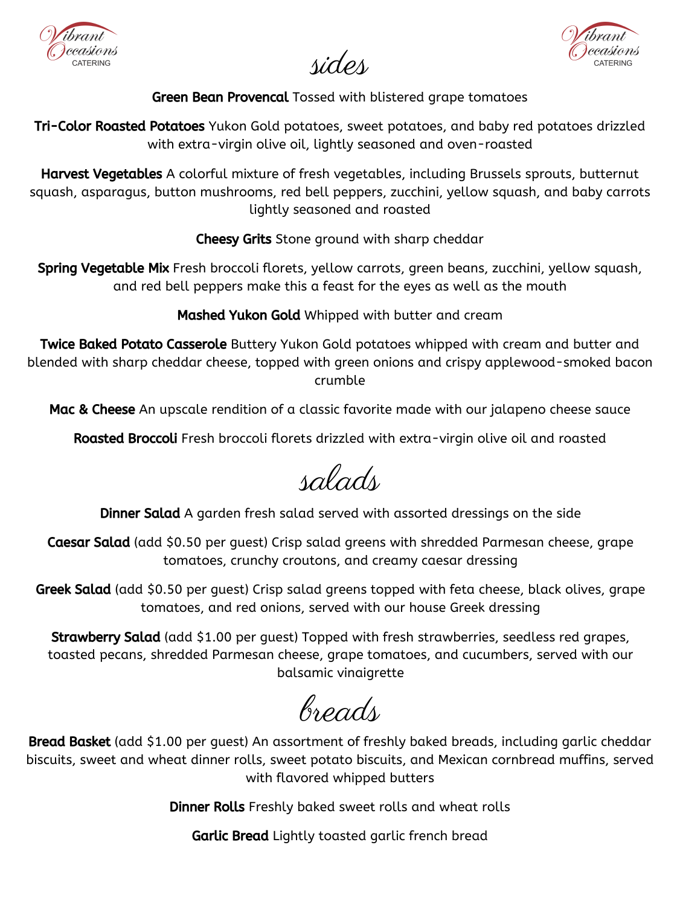Green Bean Provencal Tossed with blistered grape tomatoes

**Tri-Color Roasted Potatoes** Yukon Gold potatoes, sweet potatoes, and baby red potatoes drizzled with extra-virgin olive oil, lightly seasoned and oven-roasted

Harvest Vegetables A colorful mixture of fresh vegetables, including Brussels sprouts, butternut squash, asparagus, button mushrooms, red bell peppers, zucchini, yellow squash, and baby carrots lightly seasoned and roasted

**Twice Baked Potato Casserole** Buttery Yukon Gold potatoes whipped with cream and butter and blended with sharp cheddar cheese, topped with green onions and crispy applewood-smoked bacon crumble

Mac & Cheese An upscale rendition of a classic favorite made with our jalapeno cheese sauce

Roasted Broccoli Fresh broccoli florets drizzled with extra-virgin olive oil and roasted

 $\sqrt{2}$ 

**Dinner Salad** A garden fresh salad served with assorted dressings on the side

Cheesy Grits Stone ground with sharp cheddar

Spring Vegetable Mix Fresh broccoli florets, yellow carrots, green beans, zucchini, yellow squash, and red bell peppers make this a feast for the eyes as well as the mouth

Mashed Yukon Gold Whipped with butter and cream

Greek Salad (add \$0.50 per guest) Crisp salad greens topped with feta cheese, black olives, grape tomatoes, and red onions, served with our house Greek dressing

**Strawberry Salad** (add \$1.00 per guest) Topped with fresh strawberries, seedless red grapes, toasted pecans, shredded Parmesan cheese, grape tomatoes, and cucumbers, served with our balsamic vinaigrette

**Bread Basket** (add \$1.00 per guest) An assortment of freshly baked breads, including garlic cheddar biscuits, sweet and wheat dinner rolls, sweet potato biscuits, and Mexican cornbread muffins, served with flavored whipped butters

Caesar Salad (add \$0.50 per guest) Crisp salad greens with shredded Parmesan cheese, grape tomatoes, crunchy croutons, and creamy caesar dressing

Dinner Rolls Freshly baked sweet rolls and wheat rolls

Garlic Bread Lightly toasted garlic french bread

breads



sides